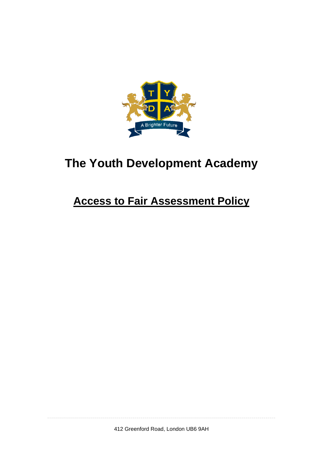

# **The Youth Development Academy**

## **Access to Fair Assessment Policy**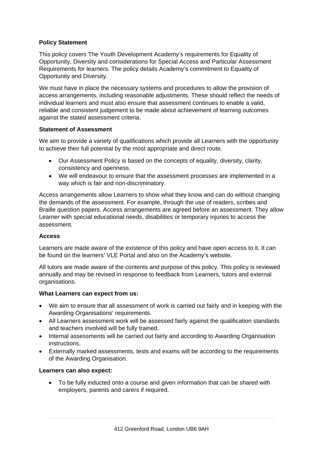## **Policy Statement**

This policy covers The Youth Development Academy's requirements for Equality of Opportunity, Diversity and considerations for Special Access and Particular Assessment Requirements for learners. The policy details Academy's commitment to Equality of Opportunity and Diversity.

We must have in place the necessary systems and procedures to allow the provision of access arrangements, including reasonable adjustments. These should reflect the needs of individual learners and must also ensure that assessment continues to enable a valid, reliable and consistent judgement to be made about achievement of learning outcomes against the stated assessment criteria.

## **Statement of Assessment**

We aim to provide a variety of qualifications which provide all Learners with the opportunity to achieve their full potential by the most appropriate and direct route.

- Our Assessment Policy is based on the concepts of equality, diversity, clarity, consistency and openness.
- We will endeavour to ensure that the assessment processes are implemented in a way which is fair and non-discriminatory.

Access arrangements allow Learners to show what they know and can do without changing the demands of the assessment. For example, through the use of readers, scribes and Braille question papers. Access arrangements are agreed before an assessment. They allow Learner with special educational needs, disabilities or temporary injuries to access the assessment.

## **Access**

Learners are made aware of the existence of this policy and have open access to it. It can be found on the learners' VLE Portal and also on the Academy's website.

All tutors are made aware of the contents and purpose of this policy. This policy is reviewed annually and may be revised in response to feedback from Learners, tutors and external organisations.

## **What Learners can expect from us:**

- We aim to ensure that all assessment of work is carried out fairly and in keeping with the Awarding Organisations' requirements.
- All Learners assessment work will be assessed fairly against the qualification standards and teachers involved will be fully trained.
- Internal assessments will be carried out fairly and according to Awarding Organisation instructions.
- Externally marked assessments, tests and exams will be according to the requirements of the Awarding Organisation.

## **Learners can also expect:**

• To be fully inducted onto a course and given information that can be shared with employers, parents and carers if required.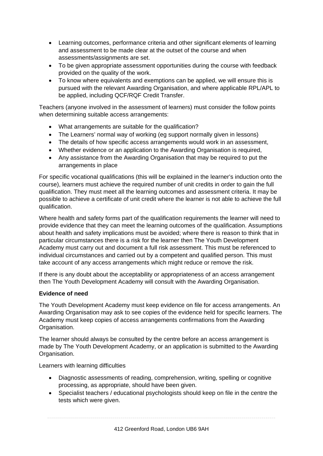- Learning outcomes, performance criteria and other significant elements of learning and assessment to be made clear at the outset of the course and when assessments/assignments are set.
- To be given appropriate assessment opportunities during the course with feedback provided on the quality of the work.
- To know where equivalents and exemptions can be applied, we will ensure this is pursued with the relevant Awarding Organisation, and where applicable RPL/APL to be applied, including QCF/RQF Credit Transfer.

Teachers (anyone involved in the assessment of learners) must consider the follow points when determining suitable access arrangements:

- What arrangements are suitable for the qualification?
- The Learners' normal way of working (eg support normally given in lessons)
- The details of how specific access arrangements would work in an assessment,
- Whether evidence or an application to the Awarding Organisation is required,
- Any assistance from the Awarding Organisation that may be required to put the arrangements in place

For specific vocational qualifications (this will be explained in the learner's induction onto the course), learners must achieve the required number of unit credits in order to gain the full qualification. They must meet all the learning outcomes and assessment criteria. It may be possible to achieve a certificate of unit credit where the learner is not able to achieve the full qualification.

Where health and safety forms part of the qualification requirements the learner will need to provide evidence that they can meet the learning outcomes of the qualification. Assumptions about health and safety implications must be avoided; where there is reason to think that in particular circumstances there is a risk for the learner then The Youth Development Academy must carry out and document a full risk assessment. This must be referenced to individual circumstances and carried out by a competent and qualified person. This must take account of any access arrangements which might reduce or remove the risk.

If there is any doubt about the acceptability or appropriateness of an access arrangement then The Youth Development Academy will consult with the Awarding Organisation.

## **Evidence of need**

The Youth Development Academy must keep evidence on file for access arrangements. An Awarding Organisation may ask to see copies of the evidence held for specific learners. The Academy must keep copies of access arrangements confirmations from the Awarding Organisation.

The learner should always be consulted by the centre before an access arrangement is made by The Youth Development Academy, or an application is submitted to the Awarding Organisation.

Learners with learning difficulties

- Diagnostic assessments of reading, comprehension, writing, spelling or cognitive processing, as appropriate, should have been given.
- Specialist teachers / educational psychologists should keep on file in the centre the tests which were given.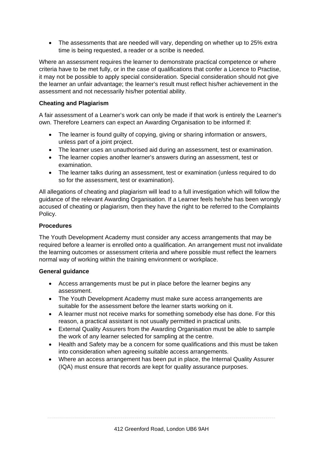• The assessments that are needed will vary, depending on whether up to 25% extra time is being requested, a reader or a scribe is needed.

Where an assessment requires the learner to demonstrate practical competence or where criteria have to be met fully, or in the case of qualifications that confer a Licence to Practise, it may not be possible to apply special consideration. Special consideration should not give the learner an unfair advantage; the learner's result must reflect his/her achievement in the assessment and not necessarily his/her potential ability.

## **Cheating and Plagiarism**

A fair assessment of a Learner's work can only be made if that work is entirely the Learner's own. Therefore Learners can expect an Awarding Organisation to be informed if:

- The learner is found guilty of copying, giving or sharing information or answers, unless part of a joint project.
- The learner uses an unauthorised aid during an assessment, test or examination.
- The learner copies another learner's answers during an assessment, test or examination.
- The learner talks during an assessment, test or examination (unless required to do so for the assessment, test or examination).

All allegations of cheating and plagiarism will lead to a full investigation which will follow the guidance of the relevant Awarding Organisation. If a Learner feels he/she has been wrongly accused of cheating or plagiarism, then they have the right to be referred to the Complaints Policy.

## **Procedures**

The Youth Development Academy must consider any access arrangements that may be required before a learner is enrolled onto a qualification. An arrangement must not invalidate the learning outcomes or assessment criteria and where possible must reflect the learners normal way of working within the training environment or workplace.

## **General guidance**

- Access arrangements must be put in place before the learner begins any assessment.
- The Youth Development Academy must make sure access arrangements are suitable for the assessment before the learner starts working on it.
- A learner must not receive marks for something somebody else has done. For this reason, a practical assistant is not usually permitted in practical units.
- External Quality Assurers from the Awarding Organisation must be able to sample the work of any learner selected for sampling at the centre.
- Health and Safety may be a concern for some qualifications and this must be taken into consideration when agreeing suitable access arrangements.
- Where an access arrangement has been put in place, the Internal Quality Assurer (IQA) must ensure that records are kept for quality assurance purposes.